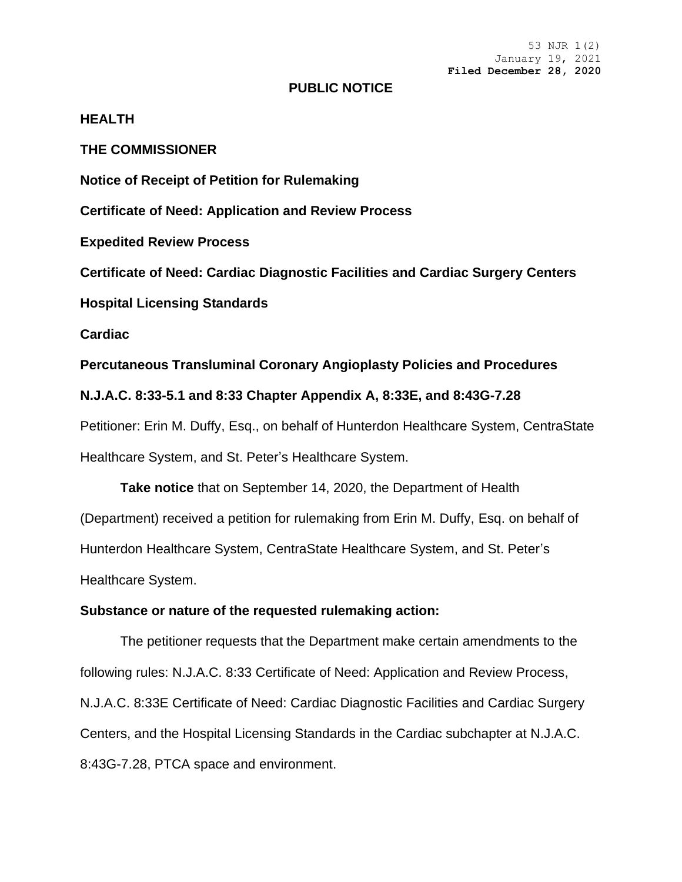53 NJR 1(2) January 19, 2021 **Filed December 28, 2020**

#### **PUBLIC NOTICE**

### **HEALTH**

**THE COMMISSIONER**

**Notice of Receipt of Petition for Rulemaking**

**Certificate of Need: Application and Review Process**

**Expedited Review Process**

**Certificate of Need: Cardiac Diagnostic Facilities and Cardiac Surgery Centers**

**Hospital Licensing Standards**

**Cardiac**

**Percutaneous Transluminal Coronary Angioplasty Policies and Procedures**

**N.J.A.C. 8:33-5.1 and 8:33 Chapter Appendix A, 8:33E, and 8:43G-7.28**

Petitioner: Erin M. Duffy, Esq., on behalf of Hunterdon Healthcare System, CentraState Healthcare System, and St. Peter's Healthcare System.

**Take notice** that on September 14, 2020, the Department of Health (Department) received a petition for rulemaking from Erin M. Duffy, Esq. on behalf of Hunterdon Healthcare System, CentraState Healthcare System, and St. Peter's Healthcare System.

### **Substance or nature of the requested rulemaking action:**

The petitioner requests that the Department make certain amendments to the following rules: N.J.A.C. 8:33 Certificate of Need: Application and Review Process, N.J.A.C. 8:33E Certificate of Need: Cardiac Diagnostic Facilities and Cardiac Surgery Centers, and the Hospital Licensing Standards in the Cardiac subchapter at N.J.A.C. 8:43G-7.28, PTCA space and environment.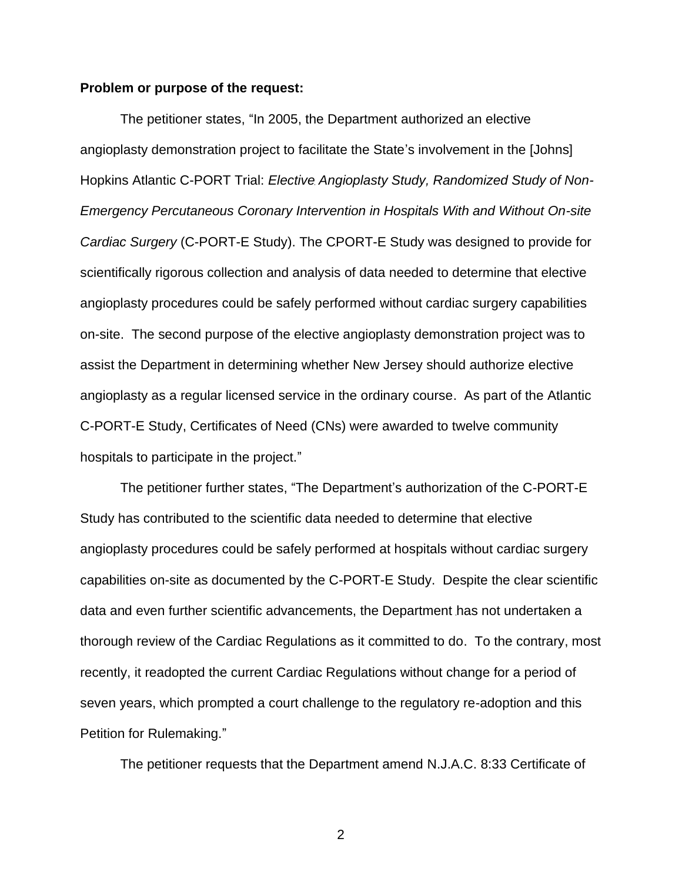#### **Problem or purpose of the request:**

The petitioner states, "In 2005, the Department authorized an elective angioplasty demonstration project to facilitate the State's involvement in the [Johns] Hopkins Atlantic C-PORT Trial: *Elective Angioplasty Study, Randomized Study of Non-Emergency Percutaneous Coronary Intervention in Hospitals With and Without On-site Cardiac Surgery* (C-PORT-E Study). The CPORT-E Study was designed to provide for scientifically rigorous collection and analysis of data needed to determine that elective angioplasty procedures could be safely performed without cardiac surgery capabilities on-site. The second purpose of the elective angioplasty demonstration project was to assist the Department in determining whether New Jersey should authorize elective angioplasty as a regular licensed service in the ordinary course. As part of the Atlantic C-PORT-E Study, Certificates of Need (CNs) were awarded to twelve community hospitals to participate in the project."

The petitioner further states, "The Department's authorization of the C-PORT-E Study has contributed to the scientific data needed to determine that elective angioplasty procedures could be safely performed at hospitals without cardiac surgery capabilities on-site as documented by the C-PORT-E Study. Despite the clear scientific data and even further scientific advancements, the Department has not undertaken a thorough review of the Cardiac Regulations as it committed to do. To the contrary, most recently, it readopted the current Cardiac Regulations without change for a period of seven years, which prompted a court challenge to the regulatory re-adoption and this Petition for Rulemaking."

The petitioner requests that the Department amend N.J.A.C. 8:33 Certificate of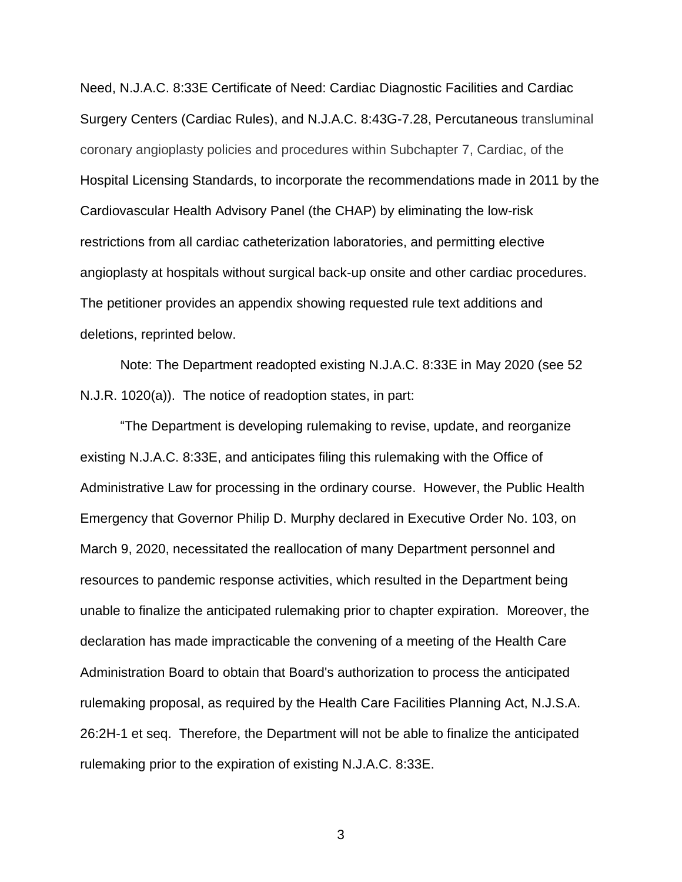Need, N.J.A.C. 8:33E Certificate of Need: Cardiac Diagnostic Facilities and Cardiac Surgery Centers (Cardiac Rules), and N.J.A.C. 8:43G-7.28, Percutaneous transluminal coronary angioplasty policies and procedures within Subchapter 7, Cardiac, of the Hospital Licensing Standards, to incorporate the recommendations made in 2011 by the Cardiovascular Health Advisory Panel (the CHAP) by eliminating the low-risk restrictions from all cardiac catheterization laboratories, and permitting elective angioplasty at hospitals without surgical back-up onsite and other cardiac procedures. The petitioner provides an appendix showing requested rule text additions and deletions, reprinted below.

Note: The Department readopted existing N.J.A.C. 8:33E in May 2020 (see 52 N.J.R. 1020(a)). The notice of readoption states, in part:

"The Department is developing rulemaking to revise, update, and reorganize existing N.J.A.C. 8:33E, and anticipates filing this rulemaking with the Office of Administrative Law for processing in the ordinary course. However, the Public Health Emergency that Governor Philip D. Murphy declared in Executive Order No. 103, on March 9, 2020, necessitated the reallocation of many Department personnel and resources to pandemic response activities, which resulted in the Department being unable to finalize the anticipated rulemaking prior to chapter expiration. Moreover, the declaration has made impracticable the convening of a meeting of the Health Care Administration Board to obtain that Board's authorization to process the anticipated rulemaking proposal, as required by the Health Care Facilities Planning Act, N.J.S.A. 26:2H-1 et seq. Therefore, the Department will not be able to finalize the anticipated rulemaking prior to the expiration of existing N.J.A.C. 8:33E.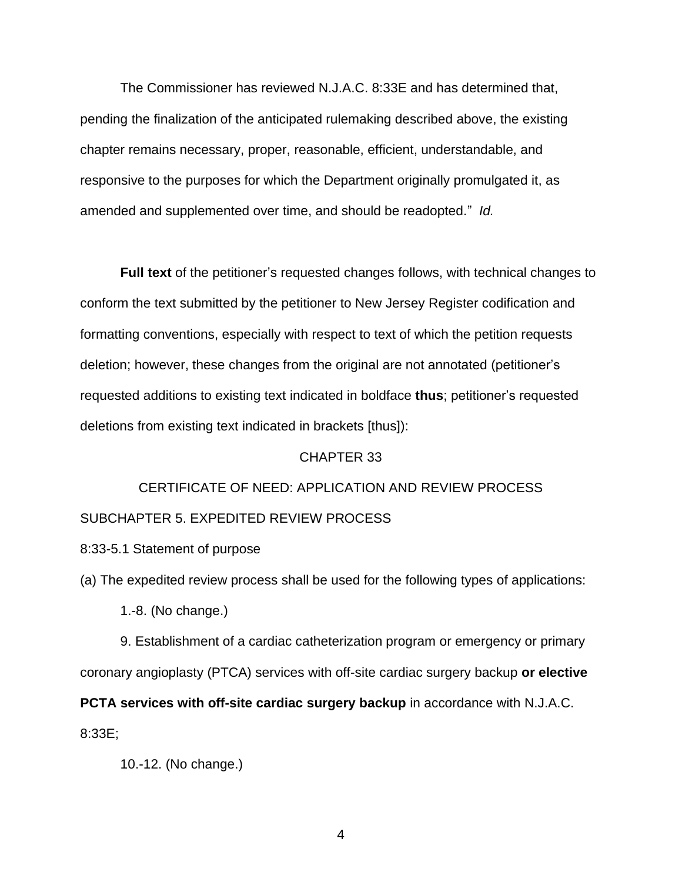The Commissioner has reviewed N.J.A.C. 8:33E and has determined that, pending the finalization of the anticipated rulemaking described above, the existing chapter remains necessary, proper, reasonable, efficient, understandable, and responsive to the purposes for which the Department originally promulgated it, as amended and supplemented over time, and should be readopted." *Id.*

**Full text** of the petitioner's requested changes follows, with technical changes to conform the text submitted by the petitioner to New Jersey Register codification and formatting conventions, especially with respect to text of which the petition requests deletion; however, these changes from the original are not annotated (petitioner's requested additions to existing text indicated in boldface **thus**; petitioner's requested deletions from existing text indicated in brackets [thus]):

#### CHAPTER 33

## CERTIFICATE OF NEED: APPLICATION AND REVIEW PROCESS SUBCHAPTER 5. EXPEDITED REVIEW PROCESS

8:33-5.1 Statement of purpose

(a) The expedited review process shall be used for the following types of applications:

1.-8. (No change.)

9. Establishment of a cardiac catheterization program or emergency or primary coronary angioplasty (PTCA) services with off-site cardiac surgery backup **or elective** 

**PCTA services with off-site cardiac surgery backup** in accordance with N.J.A.C. 8:33E;

```
10.-12. (No change.)
```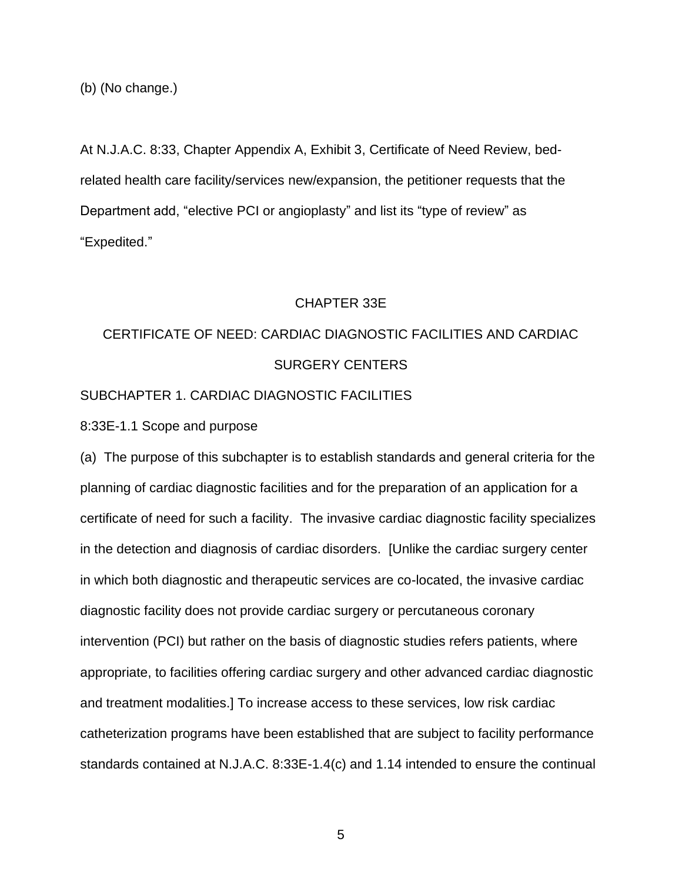(b) (No change.)

At N.J.A.C. 8:33, Chapter Appendix A, Exhibit 3, Certificate of Need Review, bedrelated health care facility/services new/expansion, the petitioner requests that the Department add, "elective PCI or angioplasty" and list its "type of review" as "Expedited."

#### CHAPTER 33E

# CERTIFICATE OF NEED: CARDIAC DIAGNOSTIC FACILITIES AND CARDIAC SURGERY CENTERS

## SUBCHAPTER 1. CARDIAC DIAGNOSTIC FACILITIES

8:33E-1.1 Scope and purpose

(a) The purpose of this subchapter is to establish standards and general criteria for the planning of cardiac diagnostic facilities and for the preparation of an application for a certificate of need for such a facility. The invasive cardiac diagnostic facility specializes in the detection and diagnosis of cardiac disorders. [Unlike the cardiac surgery center in which both diagnostic and therapeutic services are co-located, the invasive cardiac diagnostic facility does not provide cardiac surgery or percutaneous coronary intervention (PCI) but rather on the basis of diagnostic studies refers patients, where appropriate, to facilities offering cardiac surgery and other advanced cardiac diagnostic and treatment modalities.] To increase access to these services, low risk cardiac catheterization programs have been established that are subject to facility performance standards contained at N.J.A.C. 8:33E-1.4(c) and 1.14 intended to ensure the continual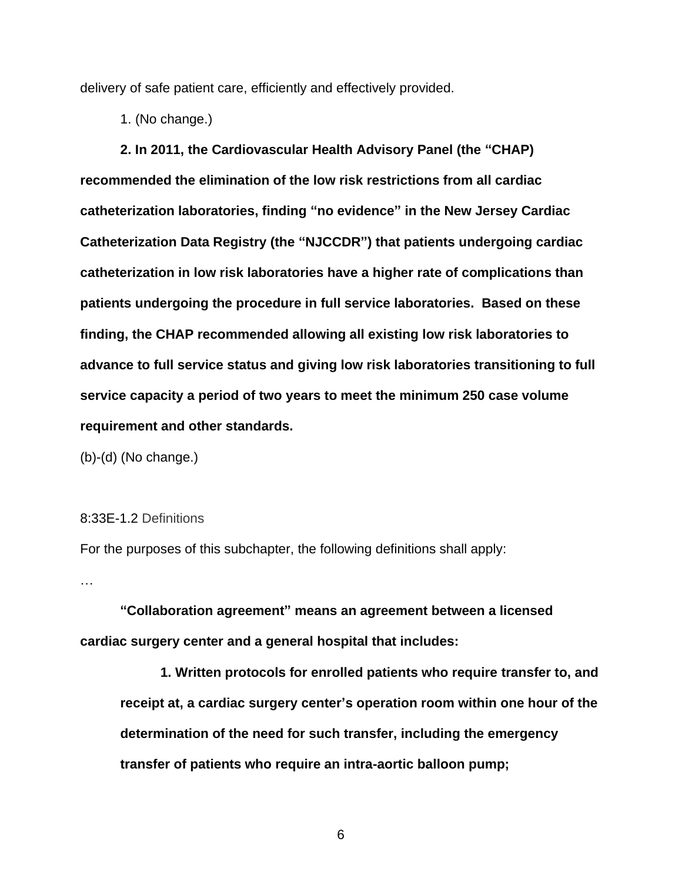delivery of safe patient care, efficiently and effectively provided.

1. (No change.)

**2. In 2011, the Cardiovascular Health Advisory Panel (the "CHAP) recommended the elimination of the low risk restrictions from all cardiac catheterization laboratories, finding "no evidence" in the New Jersey Cardiac Catheterization Data Registry (the "NJCCDR") that patients undergoing cardiac catheterization in low risk laboratories have a higher rate of complications than patients undergoing the procedure in full service laboratories. Based on these finding, the CHAP recommended allowing all existing low risk laboratories to advance to full service status and giving low risk laboratories transitioning to full service capacity a period of two years to meet the minimum 250 case volume requirement and other standards.**

(b)-(d) (No change.)

### 8:33E-1.2 Definitions

For the purposes of this subchapter, the following definitions shall apply:

…

**"Collaboration agreement" means an agreement between a licensed cardiac surgery center and a general hospital that includes:**

**1. Written protocols for enrolled patients who require transfer to, and receipt at, a cardiac surgery center's operation room within one hour of the determination of the need for such transfer, including the emergency transfer of patients who require an intra-aortic balloon pump;**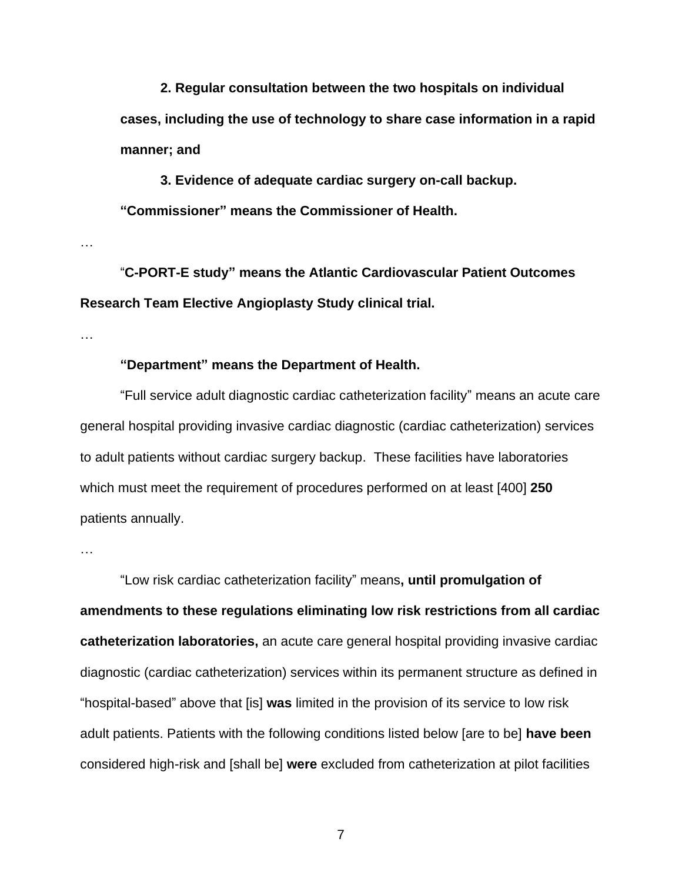**2. Regular consultation between the two hospitals on individual cases, including the use of technology to share case information in a rapid manner; and**

**3. Evidence of adequate cardiac surgery on-call backup. "Commissioner" means the Commissioner of Health.**

…

"**C-PORT-E study" means the Atlantic Cardiovascular Patient Outcomes Research Team Elective Angioplasty Study clinical trial.**

…

## **"Department" means the Department of Health.**

"Full service adult diagnostic cardiac catheterization facility" means an acute care general hospital providing invasive cardiac diagnostic (cardiac catheterization) services to adult patients without cardiac surgery backup. These facilities have laboratories which must meet the requirement of procedures performed on at least [400] **250** patients annually.

…

"Low risk cardiac catheterization facility" means**, until promulgation of amendments to these regulations eliminating low risk restrictions from all cardiac catheterization laboratories,** an acute care general hospital providing invasive cardiac diagnostic (cardiac catheterization) services within its permanent structure as defined in "hospital-based" above that [is] **was** limited in the provision of its service to low risk adult patients. Patients with the following conditions listed below [are to be] **have been** considered high-risk and [shall be] **were** excluded from catheterization at pilot facilities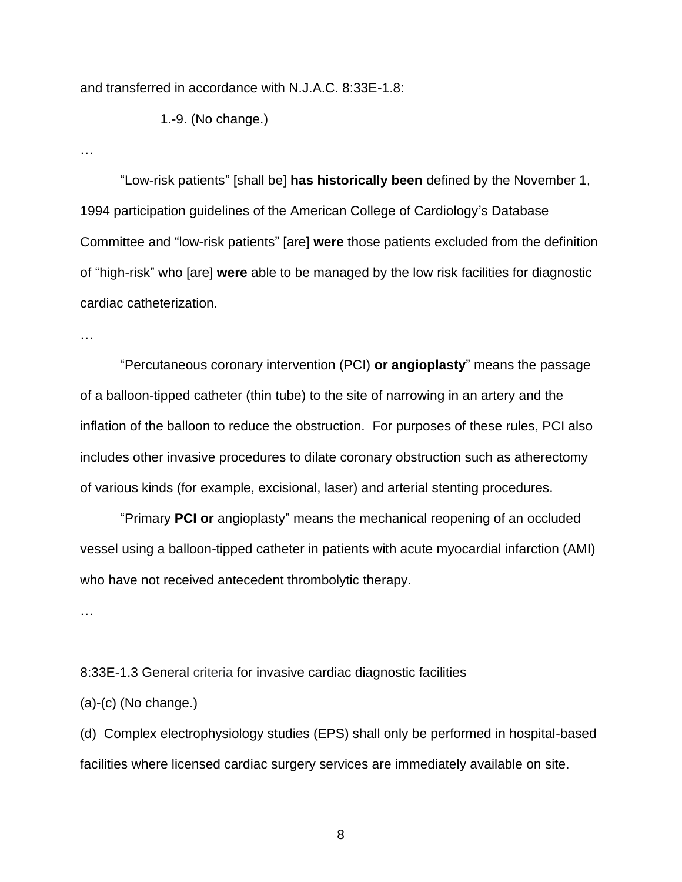and transferred in accordance with N.J.A.C. 8:33E-1.8:

1.-9. (No change.)

…

"Low-risk patients" [shall be] **has historically been** defined by the November 1, 1994 participation guidelines of the American College of Cardiology's Database Committee and "low-risk patients" [are] **were** those patients excluded from the definition of "high-risk" who [are] **were** able to be managed by the low risk facilities for diagnostic cardiac catheterization.

…

"Percutaneous coronary intervention (PCI) **or angioplasty**" means the passage of a balloon-tipped catheter (thin tube) to the site of narrowing in an artery and the inflation of the balloon to reduce the obstruction. For purposes of these rules, PCI also includes other invasive procedures to dilate coronary obstruction such as atherectomy of various kinds (for example, excisional, laser) and arterial stenting procedures.

"Primary **PCI or** angioplasty" means the mechanical reopening of an occluded vessel using a balloon-tipped catheter in patients with acute myocardial infarction (AMI) who have not received antecedent thrombolytic therapy.

…

8:33E-1.3 General criteria for invasive cardiac diagnostic facilities

(a)-(c) (No change.)

(d) Complex electrophysiology studies (EPS) shall only be performed in hospital-based facilities where licensed cardiac surgery services are immediately available on site.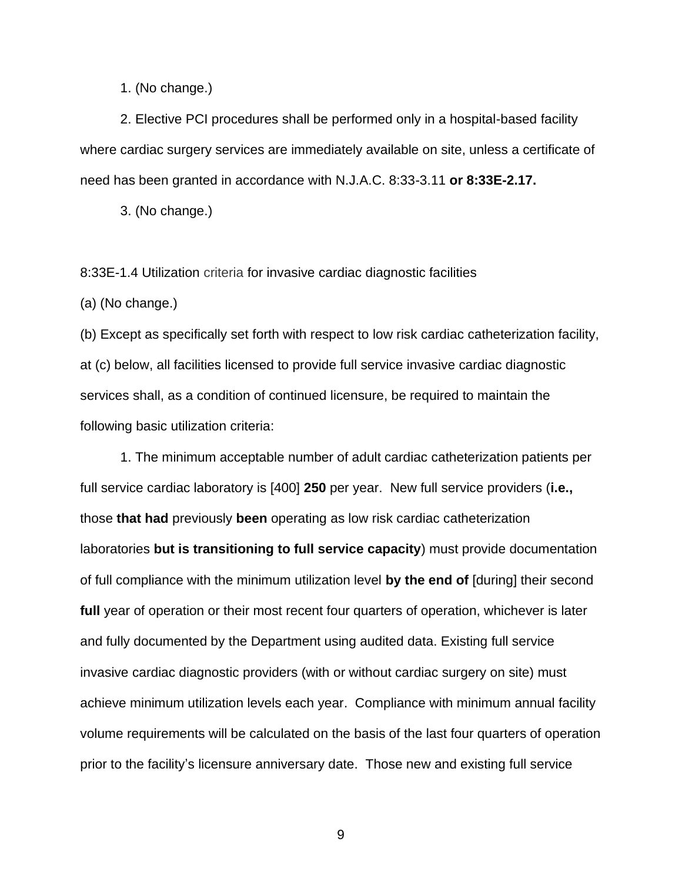1. (No change.)

2. Elective PCI procedures shall be performed only in a hospital-based facility where cardiac surgery services are immediately available on site, unless a certificate of need has been granted in accordance with N.J.A.C. 8:33-3.11 **or 8:33E-2.17.**

3. (No change.)

8:33E-1.4 Utilization criteria for invasive cardiac diagnostic facilities

(a) (No change.)

(b) Except as specifically set forth with respect to low risk cardiac catheterization facility, at (c) below, all facilities licensed to provide full service invasive cardiac diagnostic services shall, as a condition of continued licensure, be required to maintain the following basic utilization criteria:

1. The minimum acceptable number of adult cardiac catheterization patients per full service cardiac laboratory is [400] **250** per year. New full service providers (**i.e.,**  those **that had** previously **been** operating as low risk cardiac catheterization laboratories **but is transitioning to full service capacity**) must provide documentation of full compliance with the minimum utilization level **by the end of** [during] their second **full** year of operation or their most recent four quarters of operation, whichever is later and fully documented by the Department using audited data. Existing full service invasive cardiac diagnostic providers (with or without cardiac surgery on site) must achieve minimum utilization levels each year. Compliance with minimum annual facility volume requirements will be calculated on the basis of the last four quarters of operation prior to the facility's licensure anniversary date. Those new and existing full service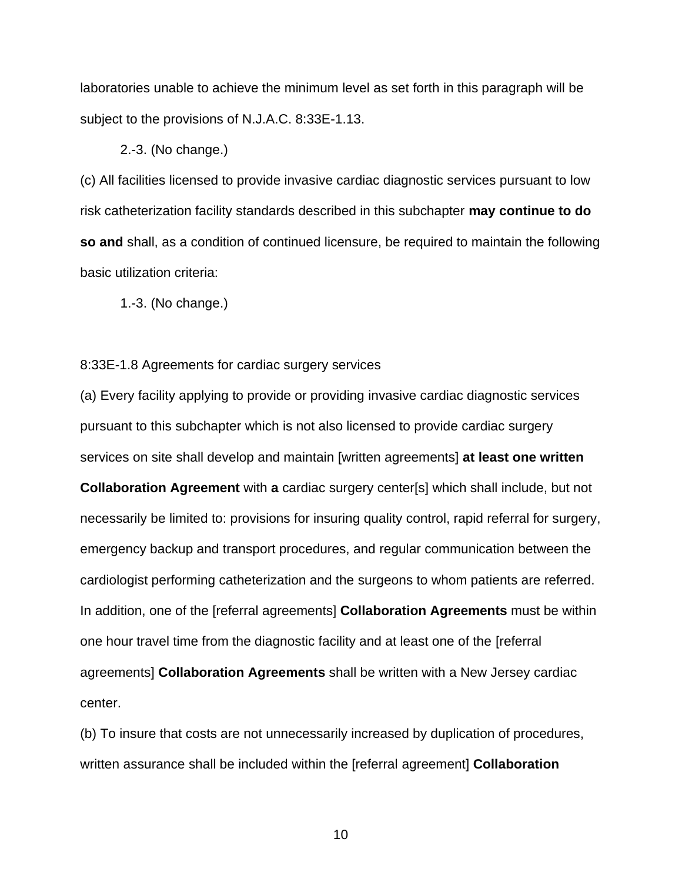laboratories unable to achieve the minimum level as set forth in this paragraph will be subject to the provisions of N.J.A.C. 8:33E-1.13.

2.-3. (No change.)

(c) All facilities licensed to provide invasive cardiac diagnostic services pursuant to low risk catheterization facility standards described in this subchapter **may continue to do so and** shall, as a condition of continued licensure, be required to maintain the following basic utilization criteria:

1.-3. (No change.)

8:33E-1.8 Agreements for cardiac surgery services

(a) Every facility applying to provide or providing invasive cardiac diagnostic services pursuant to this subchapter which is not also licensed to provide cardiac surgery services on site shall develop and maintain [written agreements] **at least one written Collaboration Agreement** with **a** cardiac surgery center[s] which shall include, but not necessarily be limited to: provisions for insuring quality control, rapid referral for surgery, emergency backup and transport procedures, and regular communication between the cardiologist performing catheterization and the surgeons to whom patients are referred. In addition, one of the [referral agreements] **Collaboration Agreements** must be within one hour travel time from the diagnostic facility and at least one of the [referral agreements] **Collaboration Agreements** shall be written with a New Jersey cardiac center.

(b) To insure that costs are not unnecessarily increased by duplication of procedures, written assurance shall be included within the [referral agreement] **Collaboration**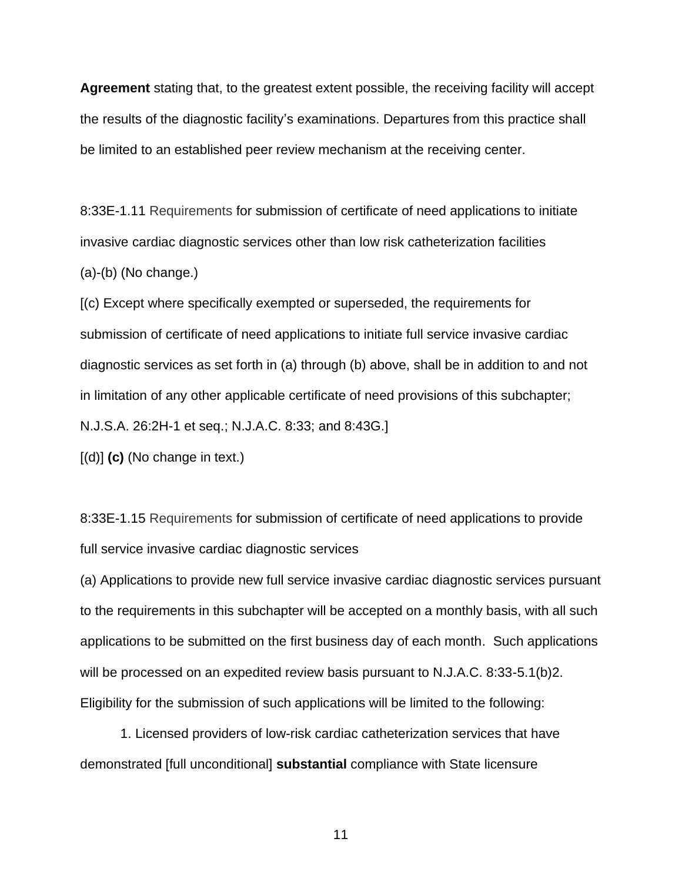**Agreement** stating that, to the greatest extent possible, the receiving facility will accept the results of the diagnostic facility's examinations. Departures from this practice shall be limited to an established peer review mechanism at the receiving center.

8:33E-1.11 Requirements for submission of certificate of need applications to initiate invasive cardiac diagnostic services other than low risk catheterization facilities (a)-(b) (No change.)

[(c) Except where specifically exempted or superseded, the requirements for submission of certificate of need applications to initiate full service invasive cardiac diagnostic services as set forth in (a) through (b) above, shall be in addition to and not in limitation of any other applicable certificate of need provisions of this subchapter; N.J.S.A. 26:2H-1 et seq.; N.J.A.C. 8:33; and 8:43G.]

[(d)] **(c)** (No change in text.)

8:33E-1.15 Requirements for submission of certificate of need applications to provide full service invasive cardiac diagnostic services

(a) Applications to provide new full service invasive cardiac diagnostic services pursuant to the requirements in this subchapter will be accepted on a monthly basis, with all such applications to be submitted on the first business day of each month. Such applications will be processed on an expedited review basis pursuant to N.J.A.C. 8:33-5.1(b)2. Eligibility for the submission of such applications will be limited to the following:

1. Licensed providers of low-risk cardiac catheterization services that have demonstrated [full unconditional] **substantial** compliance with State licensure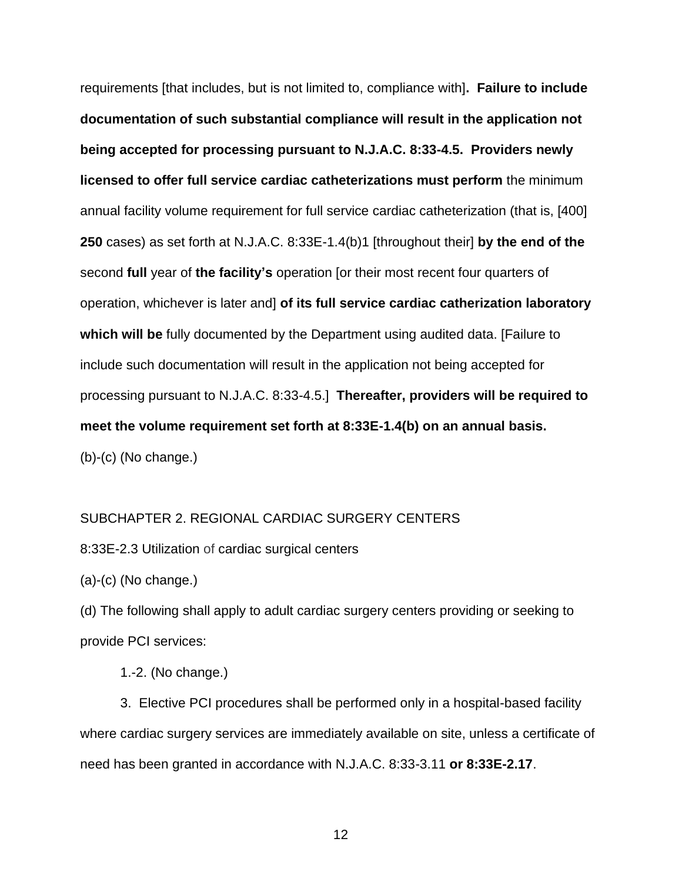requirements [that includes, but is not limited to, compliance with]**. Failure to include documentation of such substantial compliance will result in the application not being accepted for processing pursuant to N.J.A.C. 8:33-4.5. Providers newly licensed to offer full service cardiac catheterizations must perform** the minimum annual facility volume requirement for full service cardiac catheterization (that is, [400] **250** cases) as set forth at N.J.A.C. 8:33E-1.4(b)1 [throughout their] **by the end of the** second **full** year of **the facility's** operation [or their most recent four quarters of operation, whichever is later and] **of its full service cardiac catherization laboratory which will be** fully documented by the Department using audited data. [Failure to include such documentation will result in the application not being accepted for processing pursuant to N.J.A.C. 8:33-4.5.] **Thereafter, providers will be required to meet the volume requirement set forth at 8:33E-1.4(b) on an annual basis.** (b)-(c) (No change.)

#### SUBCHAPTER 2. REGIONAL CARDIAC SURGERY CENTERS

8:33E-2.3 Utilization of cardiac surgical centers

(a)-(c) (No change.)

(d) The following shall apply to adult cardiac surgery centers providing or seeking to provide PCI services:

1.-2. (No change.)

3. Elective PCI procedures shall be performed only in a hospital-based facility where cardiac surgery services are immediately available on site, unless a certificate of need has been granted in accordance with N.J.A.C. 8:33-3.11 **or 8:33E-2.17**.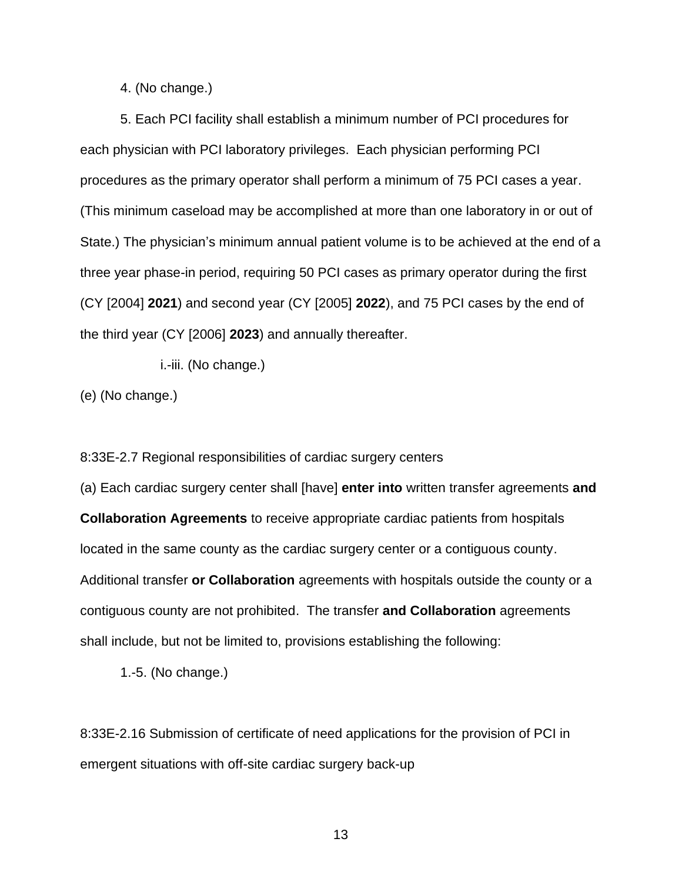4. (No change.)

5. Each PCI facility shall establish a minimum number of PCI procedures for each physician with PCI laboratory privileges. Each physician performing PCI procedures as the primary operator shall perform a minimum of 75 PCI cases a year. (This minimum caseload may be accomplished at more than one laboratory in or out of State.) The physician's minimum annual patient volume is to be achieved at the end of a three year phase-in period, requiring 50 PCI cases as primary operator during the first (CY [2004] **2021**) and second year (CY [2005] **2022**), and 75 PCI cases by the end of the third year (CY [2006] **2023**) and annually thereafter.

i.-iii. (No change.)

(e) (No change.)

8:33E-2.7 Regional responsibilities of cardiac surgery centers

(a) Each cardiac surgery center shall [have] **enter into** written transfer agreements **and Collaboration Agreements** to receive appropriate cardiac patients from hospitals located in the same county as the cardiac surgery center or a contiguous county. Additional transfer **or Collaboration** agreements with hospitals outside the county or a contiguous county are not prohibited. The transfer **and Collaboration** agreements shall include, but not be limited to, provisions establishing the following:

1.-5. (No change.)

8:33E-2.16 Submission of certificate of need applications for the provision of PCI in emergent situations with off-site cardiac surgery back-up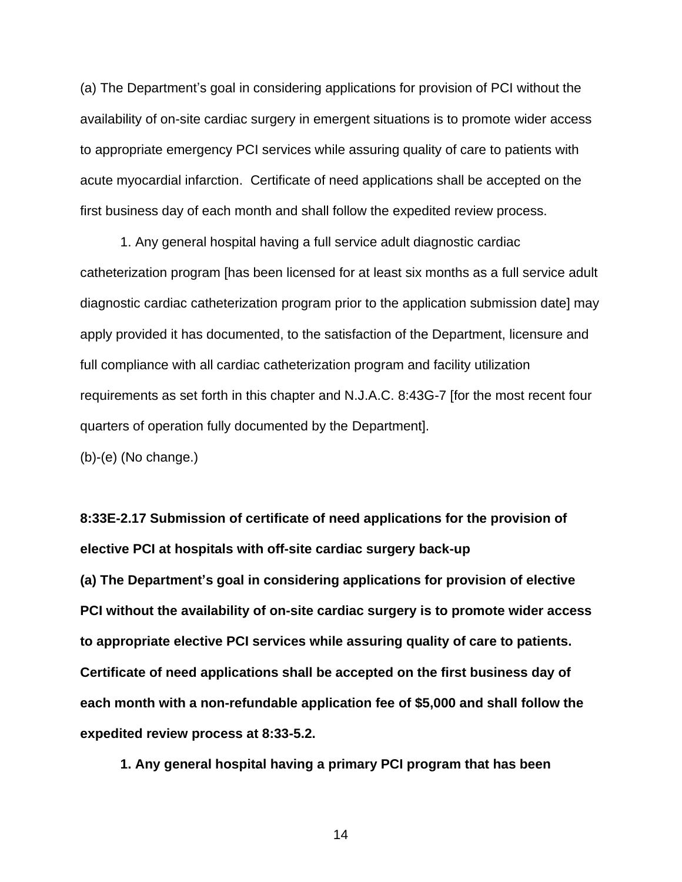(a) The Department's goal in considering applications for provision of PCI without the availability of on-site cardiac surgery in emergent situations is to promote wider access to appropriate emergency PCI services while assuring quality of care to patients with acute myocardial infarction. Certificate of need applications shall be accepted on the first business day of each month and shall follow the expedited review process.

1. Any general hospital having a full service adult diagnostic cardiac catheterization program [has been licensed for at least six months as a full service adult diagnostic cardiac catheterization program prior to the application submission date] may apply provided it has documented, to the satisfaction of the Department, licensure and full compliance with all cardiac catheterization program and facility utilization requirements as set forth in this chapter and N.J.A.C. 8:43G-7 [for the most recent four quarters of operation fully documented by the Department].

(b)-(e) (No change.)

**8:33E-2.17 Submission of certificate of need applications for the provision of elective PCI at hospitals with off-site cardiac surgery back-up (a) The Department's goal in considering applications for provision of elective PCI without the availability of on-site cardiac surgery is to promote wider access to appropriate elective PCI services while assuring quality of care to patients. Certificate of need applications shall be accepted on the first business day of each month with a non-refundable application fee of \$5,000 and shall follow the expedited review process at 8:33-5.2.**

**1. Any general hospital having a primary PCI program that has been**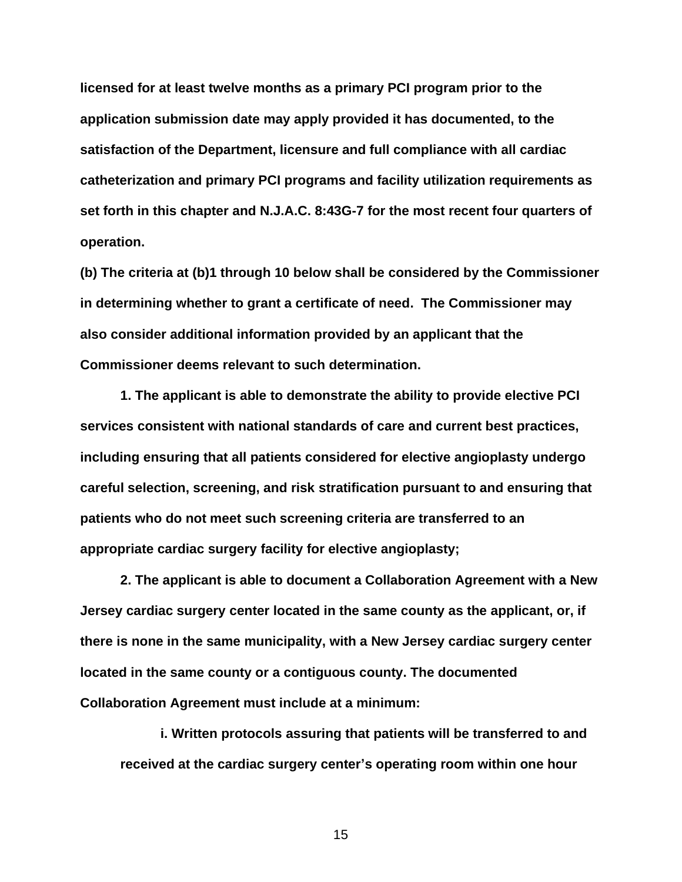**licensed for at least twelve months as a primary PCI program prior to the application submission date may apply provided it has documented, to the satisfaction of the Department, licensure and full compliance with all cardiac catheterization and primary PCI programs and facility utilization requirements as set forth in this chapter and N.J.A.C. 8:43G-7 for the most recent four quarters of operation.**

**(b) The criteria at (b)1 through 10 below shall be considered by the Commissioner in determining whether to grant a certificate of need. The Commissioner may also consider additional information provided by an applicant that the Commissioner deems relevant to such determination.**

**1. The applicant is able to demonstrate the ability to provide elective PCI services consistent with national standards of care and current best practices, including ensuring that all patients considered for elective angioplasty undergo careful selection, screening, and risk stratification pursuant to and ensuring that patients who do not meet such screening criteria are transferred to an appropriate cardiac surgery facility for elective angioplasty;**

**2. The applicant is able to document a Collaboration Agreement with a New Jersey cardiac surgery center located in the same county as the applicant, or, if there is none in the same municipality, with a New Jersey cardiac surgery center located in the same county or a contiguous county. The documented Collaboration Agreement must include at a minimum:**

**i. Written protocols assuring that patients will be transferred to and received at the cardiac surgery center's operating room within one hour**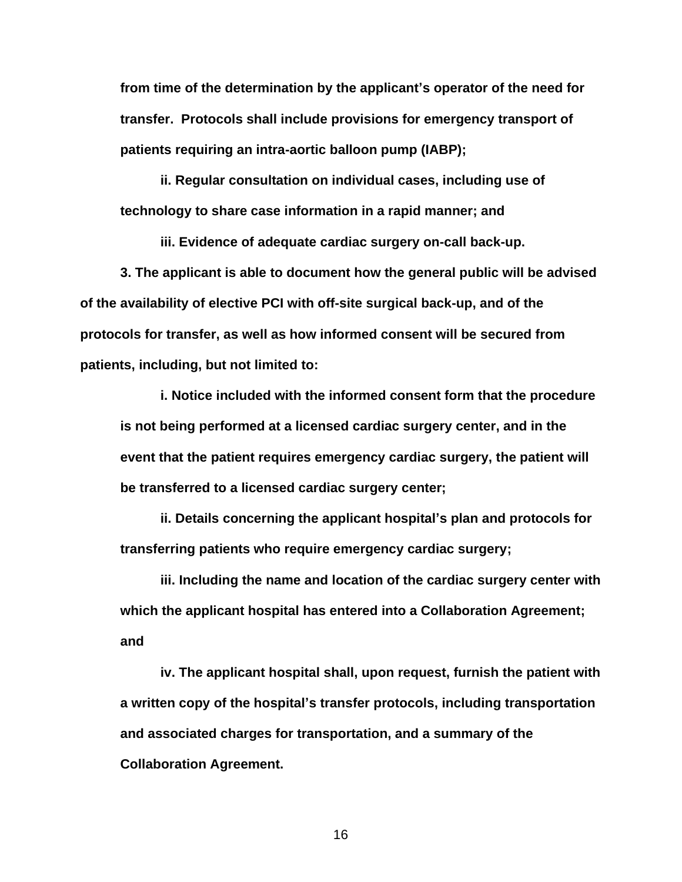**from time of the determination by the applicant's operator of the need for transfer. Protocols shall include provisions for emergency transport of patients requiring an intra-aortic balloon pump (IABP);**

**ii. Regular consultation on individual cases, including use of technology to share case information in a rapid manner; and**

**iii. Evidence of adequate cardiac surgery on-call back-up.**

**3. The applicant is able to document how the general public will be advised of the availability of elective PCI with off-site surgical back-up, and of the protocols for transfer, as well as how informed consent will be secured from patients, including, but not limited to:**

**i. Notice included with the informed consent form that the procedure is not being performed at a licensed cardiac surgery center, and in the event that the patient requires emergency cardiac surgery, the patient will be transferred to a licensed cardiac surgery center;** 

**ii. Details concerning the applicant hospital's plan and protocols for transferring patients who require emergency cardiac surgery;**

**iii. Including the name and location of the cardiac surgery center with which the applicant hospital has entered into a Collaboration Agreement; and**

**iv. The applicant hospital shall, upon request, furnish the patient with a written copy of the hospital's transfer protocols, including transportation and associated charges for transportation, and a summary of the Collaboration Agreement.**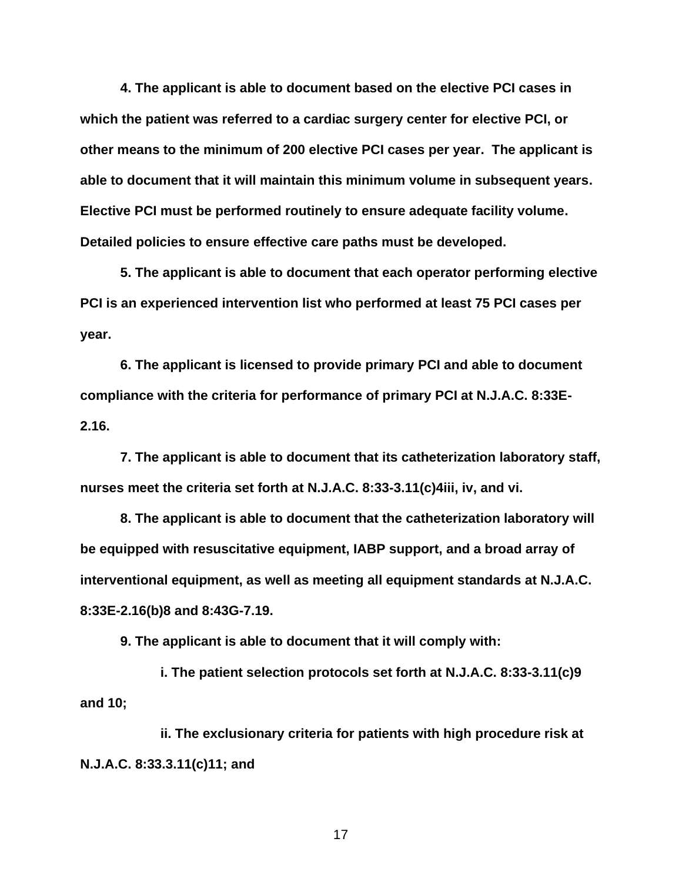**4. The applicant is able to document based on the elective PCI cases in which the patient was referred to a cardiac surgery center for elective PCI, or other means to the minimum of 200 elective PCI cases per year. The applicant is able to document that it will maintain this minimum volume in subsequent years. Elective PCI must be performed routinely to ensure adequate facility volume. Detailed policies to ensure effective care paths must be developed.**

**5. The applicant is able to document that each operator performing elective PCI is an experienced intervention list who performed at least 75 PCI cases per year.**

**6. The applicant is licensed to provide primary PCI and able to document compliance with the criteria for performance of primary PCI at N.J.A.C. 8:33E-2.16.**

**7. The applicant is able to document that its catheterization laboratory staff, nurses meet the criteria set forth at N.J.A.C. 8:33-3.11(c)4iii, iv, and vi.**

**8. The applicant is able to document that the catheterization laboratory will be equipped with resuscitative equipment, IABP support, and a broad array of interventional equipment, as well as meeting all equipment standards at N.J.A.C. 8:33E-2.16(b)8 and 8:43G-7.19.**

**9. The applicant is able to document that it will comply with:**

**i. The patient selection protocols set forth at N.J.A.C. 8:33-3.11(c)9 and 10;** 

**ii. The exclusionary criteria for patients with high procedure risk at N.J.A.C. 8:33.3.11(c)11; and**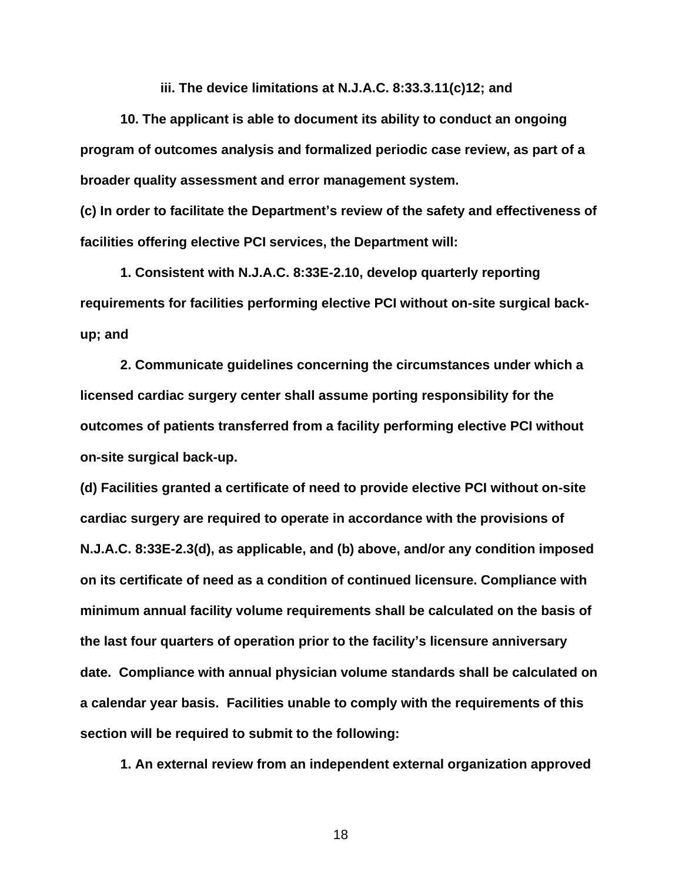**iii. The device limitations at N.J.A.C. 8:33.3.11(c)12; and**

**10. The applicant is able to document its ability to conduct an ongoing program of outcomes analysis and formalized periodic case review, as part of a broader quality assessment and error management system.**

**(c) In order to facilitate the Department's review of the safety and effectiveness of facilities offering elective PCI services, the Department will:**

**1. Consistent with N.J.A.C. 8:33E-2.10, develop quarterly reporting requirements for facilities performing elective PCI without on-site surgical backup; and**

**2. Communicate guidelines concerning the circumstances under which a licensed cardiac surgery center shall assume porting responsibility for the outcomes of patients transferred from a facility performing elective PCI without on-site surgical back-up.**

**(d) Facilities granted a certificate of need to provide elective PCI without on-site cardiac surgery are required to operate in accordance with the provisions of N.J.A.C. 8:33E-2.3(d), as applicable, and (b) above, and/or any condition imposed on its certificate of need as a condition of continued licensure. Compliance with minimum annual facility volume requirements shall be calculated on the basis of the last four quarters of operation prior to the facility's licensure anniversary date. Compliance with annual physician volume standards shall be calculated on a calendar year basis. Facilities unable to comply with the requirements of this section will be required to submit to the following:**

**1. An external review from an independent external organization approved**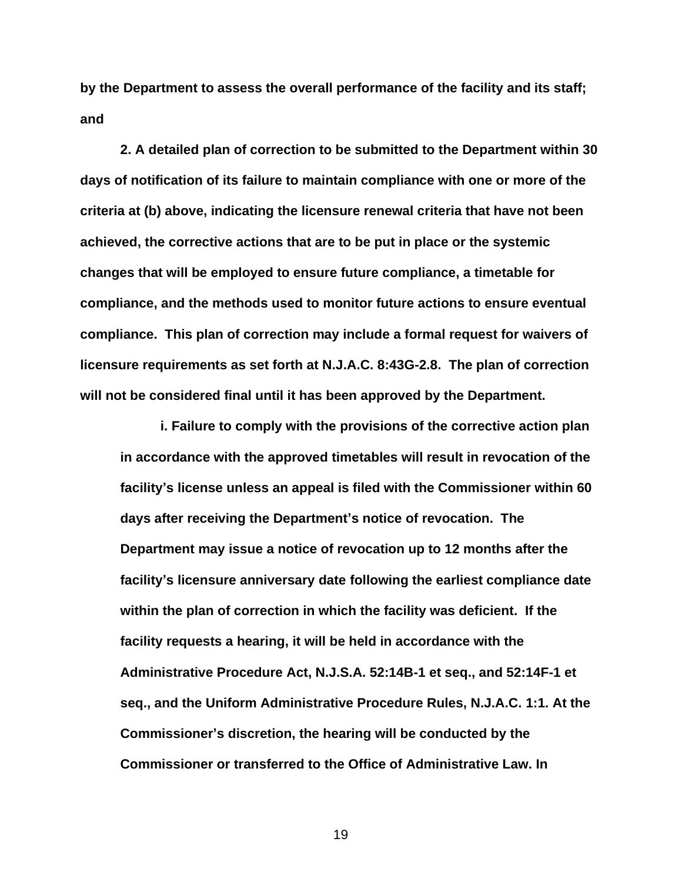**by the Department to assess the overall performance of the facility and its staff; and**

**2. A detailed plan of correction to be submitted to the Department within 30 days of notification of its failure to maintain compliance with one or more of the criteria at (b) above, indicating the licensure renewal criteria that have not been achieved, the corrective actions that are to be put in place or the systemic changes that will be employed to ensure future compliance, a timetable for compliance, and the methods used to monitor future actions to ensure eventual compliance. This plan of correction may include a formal request for waivers of licensure requirements as set forth at N.J.A.C. 8:43G-2.8. The plan of correction will not be considered final until it has been approved by the Department.**

**i. Failure to comply with the provisions of the corrective action plan in accordance with the approved timetables will result in revocation of the facility's license unless an appeal is filed with the Commissioner within 60 days after receiving the Department's notice of revocation. The Department may issue a notice of revocation up to 12 months after the facility's licensure anniversary date following the earliest compliance date within the plan of correction in which the facility was deficient. If the facility requests a hearing, it will be held in accordance with the Administrative Procedure Act, N.J.S.A. 52:14B-1 et seq., and 52:14F-1 et seq., and the Uniform Administrative Procedure Rules, N.J.A.C. 1:1. At the Commissioner's discretion, the hearing will be conducted by the Commissioner or transferred to the Office of Administrative Law. In**